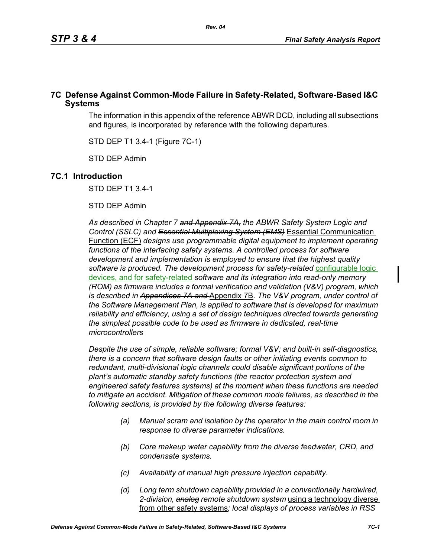### **7C Defense Against Common-Mode Failure in Safety-Related, Software-Based I&C Systems**

The information in this appendix of the reference ABWR DCD, including all subsections and figures, is incorporated by reference with the following departures.

STD DEP T1 3.4-1 (Figure 7C-1)

STD DEP Admin

#### **7C.1 Introduction**

STD DEP T1 3.4-1

#### STD DEP Admin

*As described in Chapter 7 and Appendix 7A, the ABWR Safety System Logic and Control (SSLC) and Essential Multiplexing System (EMS)* Essential Communication Function (ECF) *designs use programmable digital equipment to implement operating*  functions of the interfacing safety systems. A controlled process for software *development and implementation is employed to ensure that the highest quality*  software is produced. The development process for safety-related **configurable logic** devices, and for safety-related *software and its integration into read-only memory (ROM) as firmware includes a formal verification and validation (V&V) program, which is described in Appendices 7A and* Appendix 7B*. The V&V program, under control of the Software Management Plan, is applied to software that is developed for maximum reliability and efficiency, using a set of design techniques directed towards generating the simplest possible code to be used as firmware in dedicated, real-time microcontrollers*

*Despite the use of simple, reliable software; formal V&V; and built-in self-diagnostics, there is a concern that software design faults or other initiating events common to redundant, multi-divisional logic channels could disable significant portions of the plant's automatic standby safety functions (the reactor protection system and engineered safety features systems) at the moment when these functions are needed to mitigate an accident. Mitigation of these common mode failures, as described in the following sections, is provided by the following diverse features:*

- *(a) Manual scram and isolation by the operator in the main control room in response to diverse parameter indications.*
- *(b) Core makeup water capability from the diverse feedwater, CRD, and condensate systems.*
- *(c) Availability of manual high pressure injection capability.*
- *(d) Long term shutdown capability provided in a conventionally hardwired, 2-division, analog remote shutdown system* using a technology diverse from other safety systems*; local displays of process variables in RSS*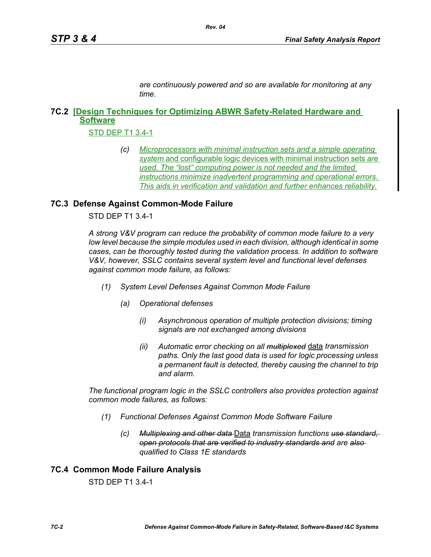*are continuously powered and so are available for monitoring at any time.*

# **7C.2 [Design Techniques for Optimizing ABWR Safety-Related Hardware and Software**

STD DEP T1 3.4-1

*(c) Microprocessors with minimal instruction sets and a simple operating system* and configurable logic devices with minimal instruction sets *are used. The "lost" computing power is not needed and the limited instructions minimize inadvertent programming and operational errors. This aids in verification and validation and further enhances reliability.*

## **7C.3 Defense Against Common-Mode Failure**

STD DEP T1 3.4-1

*A strong V&V program can reduce the probability of common mode failure to a very low level because the simple modules used in each division, although identical in some cases, can be thoroughly tested during the validation process. In addition to software V&V, however, SSLC contains several system level and functional level defenses against common mode failure, as follows:*

- *(1) System Level Defenses Against Common Mode Failure*
	- *(a) Operational defenses*
		- *(i) Asynchronous operation of multiple protection divisions; timing signals are not exchanged among divisions*
		- *(ii) Automatic error checking on all multiplexed* data *transmission paths. Only the last good data is used for logic processing unless a permanent fault is detected, thereby causing the channel to trip and alarm.*

*The functional program logic in the SSLC controllers also provides protection against common mode failures, as follows:*

- *(1) Functional Defenses Against Common Mode Software Failure*
	- *(c) Multiplexing and other data* Data *transmission functions use standard, open protocols that are verified to industry standards and are also qualified to Class 1E standards*

### **7C.4 Common Mode Failure Analysis**

STD DEP T1 3.4-1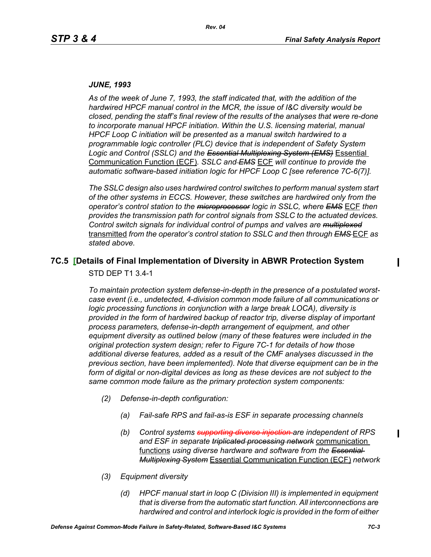#### *JUNE, 1993*

*As of the week of June 7, 1993, the staff indicated that, with the addition of the hardwired HPCF manual control in the MCR, the issue of I&C diversity would be closed, pending the staff's final review of the results of the analyses that were re-done to incorporate manual HPCF initiation. Within the U.S. licensing material, manual HPCF Loop C initiation will be presented as a manual switch hardwired to a programmable logic controller (PLC) device that is independent of Safety System Logic and Control (SSLC) and the Essential Multiplexing System (EMS)* Essential Communication Function (ECF)*. SSLC and EMS* ECF *will continue to provide the automatic software-based initiation logic for HPCF Loop C [see reference 7C-6(7)].*

*The SSLC design also uses hardwired control switches to perform manual system start of the other systems in ECCS. However, these switches are hardwired only from the operator's control station to the microprocessor logic in SSLC, where EMS* ECF *then provides the transmission path for control signals from SSLC to the actuated devices. Control switch signals for individual control of pumps and valves are multiplexed* transmitted *from the operator's control station to SSLC and then through EMS* ECF *as stated above.*

# **7C.5 [Details of Final Implementation of Diversity in ABWR Protection System**

STD DEP T1 3.4-1

*To maintain protection system defense-in-depth in the presence of a postulated worstcase event (i.e., undetected, 4-division common mode failure of all communications or logic processing functions in conjunction with a large break LOCA), diversity is provided in the form of hardwired backup of reactor trip, diverse display of important process parameters, defense-in-depth arrangement of equipment, and other equipment diversity as outlined below (many of these features were included in the original protection system design; refer to Figure 7C-1 for details of how those additional diverse features, added as a result of the CMF analyses discussed in the previous section, have been implemented). Note that diverse equipment can be in the*  form of digital or non-digital devices as long as these devices are not subject to the *same common mode failure as the primary protection system components:*

- *(2) Defense-in-depth configuration:*
	- *(a) Fail-safe RPS and fail-as-is ESF in separate processing channels*
	- *(b) Control systems supporting diverse injection are independent of RPS and ESF in separate triplicated processing network* communication functions *using diverse hardware and software from the Essential Multiplexing System* Essential Communication Function (ECF) *network*
- *(3) Equipment diversity*
	- *(d) HPCF manual start in loop C (Division III) is implemented in equipment that is diverse from the automatic start function. All interconnections are hardwired and control and interlock logic is provided in the form of either*

 $\overline{\phantom{a}}$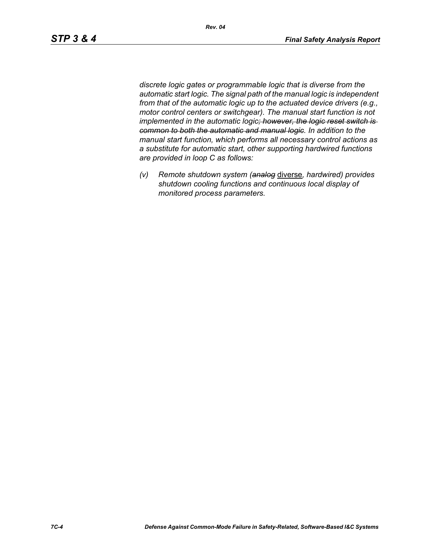*discrete logic gates or programmable logic that is diverse from the automatic start logic. The signal path of the manual logic is independent from that of the automatic logic up to the actuated device drivers (e.g., motor control centers or switchgear). The manual start function is not implemented in the automatic logic; however, the logic reset switch is common to both the automatic and manual logic. In addition to the manual start function, which performs all necessary control actions as a substitute for automatic start, other supporting hardwired functions are provided in loop C as follows:*

*(v) Remote shutdown system (analog* diverse*, hardwired) provides shutdown cooling functions and continuous local display of monitored process parameters.*